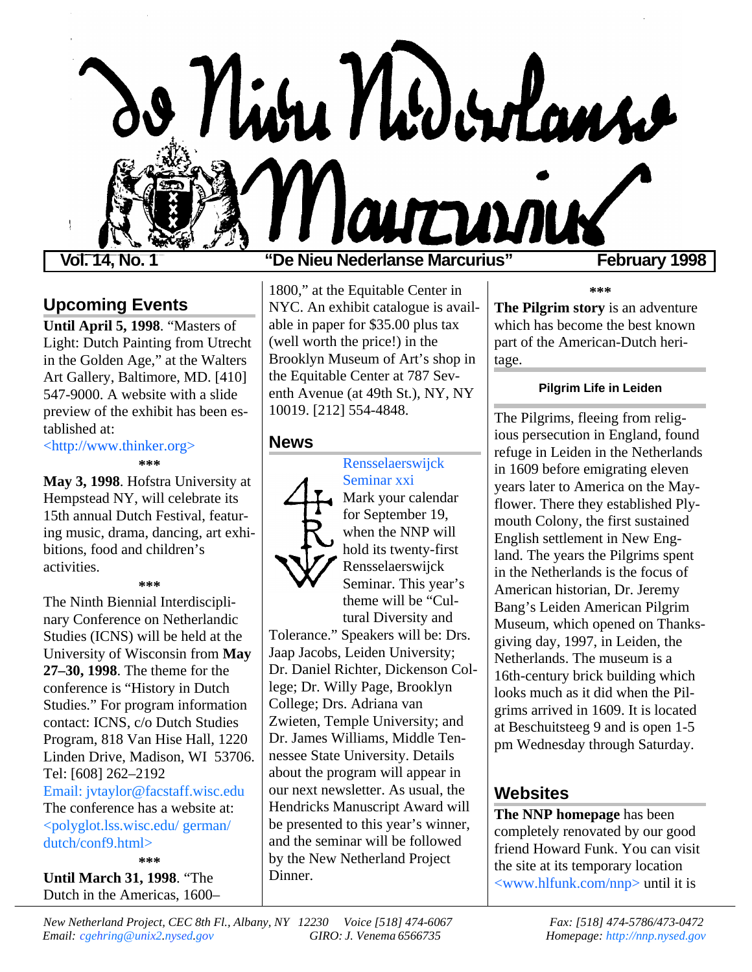

## **Upcoming Events**

**Until April 5, 1998**. "Masters of Light: Dutch Painting from Utrecht in the Golden Age," at the Walters Art Gallery, Baltimore, MD. [410] 547-9000. A website with a slide preview of the exhibit has been established at:

[<http://www.thinker.org>](http://www.thinker.org)

**\*\*\***

**May 3, 1998**. Hofstra University at Hempstead NY, will celebrate its 15th annual Dutch Festival, featuring music, drama, dancing, art exhibitions, food and children's activities.

#### **\*\*\***

The Ninth Biennial Interdisciplinary Conference on Netherlandic Studies (ICNS) will be held at the University of Wisconsin from **May 27–30, 1998**. The theme for the conference is "History in Dutch Studies." For program information contact: ICNS, c/o Dutch Studies Program, 818 Van Hise Hall, 1220 Linden Drive, Madison, WI 53706. Tel: [608] 262–2192 [Email: jvtaylor@facstaff.wisc.edu](mailto:jvtaylor@facstaff.wisc.edu) The conference has a website at: [<polyglot.lss.wisc.edu/ german/](http://polyglot.lss.wisc.edu/german/dutch/conf9.html) dutch/conf9.html>

**\*\*\* Until March 31, 1998**. "The Dutch in the Americas, 1600–

### **Vol. 14, No. 1 "De Nieu Nederlanse Marcurius" February 1998**

1800," at the Equitable Center in NYC. An exhibit catalogue is available in paper for \$35.00 plus tax (well worth the price!) in the Brooklyn Museum of Art's shop in the Equitable Center at 787 Seventh Avenue (at 49th St.), NY, NY 10019. [212] 554-4848.

#### **News**



Seminar xxi Mark your calendar for September 19, when the NNP will hold its twenty-first Rensselaerswijck Seminar. This year's theme will be "Cultural Diversity and

[Rensselaerswijck](http://www.hlfunk.com/nnp/seminars.html)

Tolerance." Speakers will be: Drs. Jaap Jacobs, Leiden University; Dr. Daniel Richter, Dickenson College; Dr. Willy Page, Brooklyn College; Drs. Adriana van Zwieten, Temple University; and Dr. James Williams, Middle Tennessee State University. Details about the program will appear in our next newsletter. As usual, the Hendricks Manuscript Award will be presented to this year's winner, and the seminar will be followed by the New Netherland Project Dinner.

**\*\*\***

**The Pilgrim story** is an adventure which has become the best known part of the American-Dutch heritage.

#### **Pilgrim Life in Leiden**

The Pilgrims, fleeing from religious persecution in England, found refuge in Leiden in the Netherlands in 1609 before emigrating eleven years later to America on the Mayflower. There they established Plymouth Colony, the first sustained English settlement in New England. The years the Pilgrims spent in the Netherlands is the focus of American historian, Dr. Jeremy Bang's Leiden American Pilgrim Museum, which opened on Thanksgiving day, 1997, in Leiden, the Netherlands. The museum is a 16th-century brick building which looks much as it did when the Pilgrims arrived in 1609. It is located at Beschuitsteeg 9 and is open 1-5 pm Wednesday through Saturday.

## **Websites**

**The NNP homepage** has been completely renovated by our good friend Howard Funk. You can visit the site at its temporary location [<www.hlfunk.com/nnp>](http;//www.hlfunk.com/nnp) until it is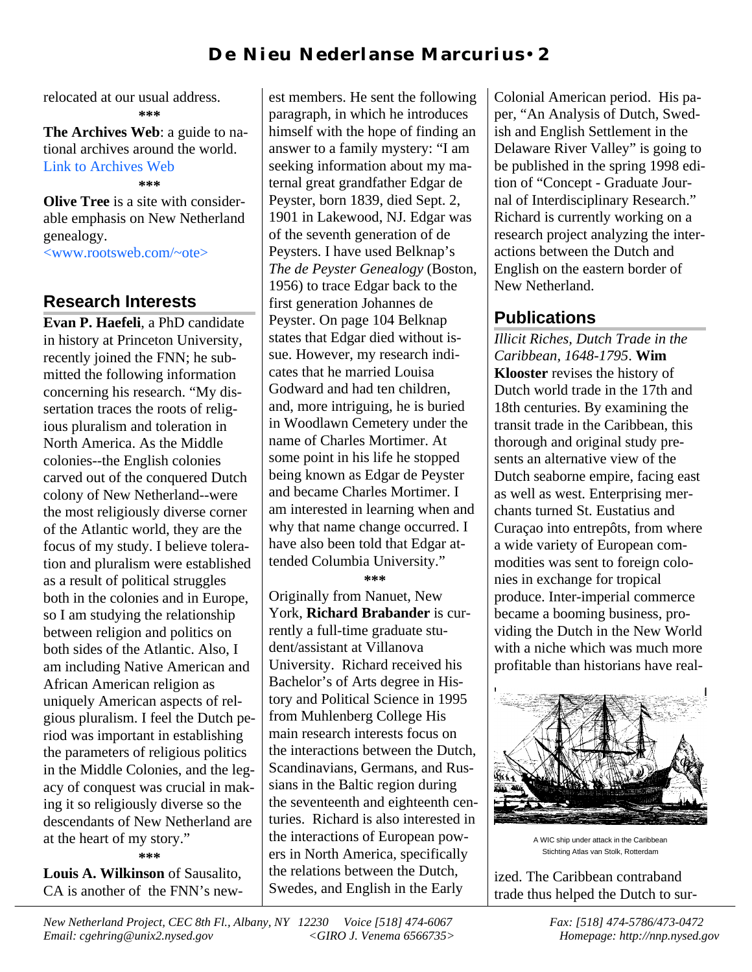## **D e Ni eu N eder l an se M ar cu r i u s** • **2**

relocated at our usual address. **\*\*\***

**The Archives Web**: a guide to national archives around the world. [Link to Archives Web](http://www.obd.nl/www-data/archivesweb.htm)

**\*\*\***

**Olive Tree** is a site with considerable emphasis on New Netherland genealogy.

[<www.rootsweb.com/~ote>](http://www.rootsweb.com/~ote)

### **Research Interests**

**Evan P. Haefeli**, a PhD candidate in history at Princeton University, recently joined the FNN; he submitted the following information concerning his research. "My dissertation traces the roots of religious pluralism and toleration in North America. As the Middle colonies--the English colonies carved out of the conquered Dutch colony of New Netherland--were the most religiously diverse corner of the Atlantic world, they are the focus of my study. I believe toleration and pluralism were established as a result of political struggles both in the colonies and in Europe, so I am studying the relationship between religion and politics on both sides of the Atlantic. Also, I am including Native American and African American religion as uniquely American aspects of relgious pluralism. I feel the Dutch period was important in establishing the parameters of religious politics in the Middle Colonies, and the legacy of conquest was crucial in making it so religiously diverse so the descendants of New Netherland are at the heart of my story."

**\*\*\***

**Louis A. Wilkinson** of Sausalito, CA is another of the FNN's new-

est members. He sent the following paragraph, in which he introduces himself with the hope of finding an answer to a family mystery: "I am seeking information about my maternal great grandfather Edgar de Peyster, born 1839, died Sept. 2, 1901 in Lakewood, NJ. Edgar was of the seventh generation of de Peysters. I have used Belknap's *The de Peyster Genealogy* (Boston, 1956) to trace Edgar back to the first generation Johannes de Peyster. On page 104 Belknap states that Edgar died without issue. However, my research indicates that he married Louisa Godward and had ten children, and, more intriguing, he is buried in Woodlawn Cemetery under the name of Charles Mortimer. At some point in his life he stopped being known as Edgar de Peyster and became Charles Mortimer. I am interested in learning when and why that name change occurred. I have also been told that Edgar attended Columbia University."

**\*\*\***

Originally from Nanuet, New York, **Richard Brabander** is currently a full-time graduate student/assistant at Villanova University. Richard received his Bachelor's of Arts degree in History and Political Science in 1995 from Muhlenberg College His main research interests focus on the interactions between the Dutch, Scandinavians, Germans, and Russians in the Baltic region during the seventeenth and eighteenth centuries. Richard is also interested in the interactions of European powers in North America, specifically the relations between the Dutch, Swedes, and English in the Early

Colonial American period. His paper, "An Analysis of Dutch, Swedish and English Settlement in the Delaware River Valley" is going to be published in the spring 1998 edition of "Concept - Graduate Journal of Interdisciplinary Research." Richard is currently working on a research project analyzing the interactions between the Dutch and English on the eastern border of New Netherland.

# **Publications**

*Illicit Riches, Dutch Trade in the Caribbean, 1648-1795*. **Wim Klooster** revises the history of Dutch world trade in the 17th and 18th centuries. By examining the transit trade in the Caribbean, this thorough and original study presents an alternative view of the Dutch seaborne empire, facing east as well as west. Enterprising merchants turned St. Eustatius and Curaçao into entrepôts, from where a wide variety of European commodities was sent to foreign colonies in exchange for tropical produce. Inter-imperial commerce became a booming business, providing the Dutch in the New World with a niche which was much more profitable than historians have real-



A WIC ship under attack in the Caribbean Stichting Atlas van Stolk, Rotterdam

ized. The Caribbean contraband trade thus helped the Dutch to sur-

*New Netherland Project, CEC 8th Fl., Albany, NY 12230 Voice [518] 474-6067 Fax: [518] 474-5786/473-0472 Email: cgehring@unix2.nysed.gov <GIRO J. Venema 6566735> Homepage: http://nnp.nysed.gov*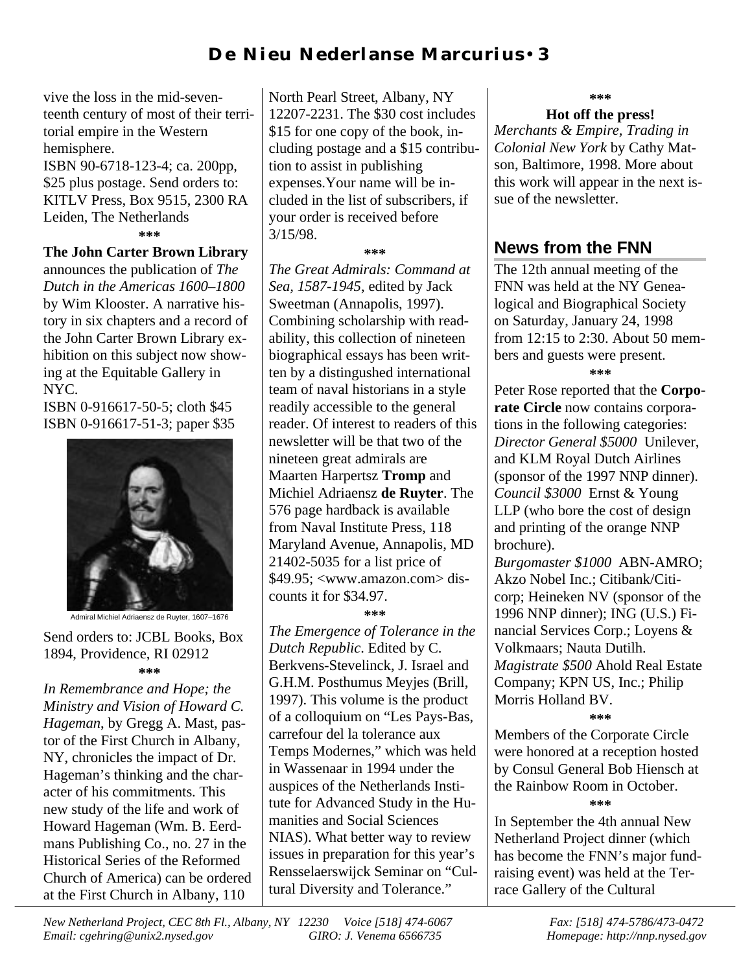# **D** e N i eu N eder l anse M ar curius • 3

vive the loss in the mid-seventeenth century of most of their territorial empire in the Western hemisphere. ISBN 90-6718-123-4; ca. 200pp, \$25 plus postage. Send orders to:

KITLV Press, Box 9515, 2300 RA Leiden, The Netherlands **\*\*\***

#### **The John Carter Brown Library**

announces the publication of *The Dutch in the Americas 1600–1800* by Wim Klooster. A narrative history in six chapters and a record of the John Carter Brown Library exhibition on this subject now showing at the Equitable Gallery in NYC.

ISBN 0-916617-50-5; cloth \$45 ISBN 0-916617-51-3; paper \$35



Admiral Michiel Adriaensz de Ruyter, 1607–1676

Send orders to: JCBL Books, Box 1894, Providence, RI 02912 **\*\*\***

*In Remembrance and Hope; the Ministry and Vision of Howard C. Hageman*, by Gregg A. Mast, pastor of the First Church in Albany, NY, chronicles the impact of Dr. Hageman's thinking and the character of his commitments. This new study of the life and work of Howard Hageman (Wm. B. Eerdmans Publishing Co., no. 27 in the Historical Series of the Reformed Church of America) can be ordered at the First Church in Albany, 110

North Pearl Street, Albany, NY 12207-2231. The \$30 cost includes \$15 for one copy of the book, including postage and a \$15 contribution to assist in publishing expenses.Your name will be included in the list of subscribers, if your order is received before 3/15/98.

**\*\*\***

*The Great Admirals: Command at Sea, 1587-1945*, edited by Jack Sweetman (Annapolis, 1997). Combining scholarship with readability, this collection of nineteen biographical essays has been written by a distingushed international team of naval historians in a style readily accessible to the general reader. Of interest to readers of this newsletter will be that two of the nineteen great admirals are Maarten Harpertsz **Tromp** and Michiel Adriaensz **de Ruyter**. The 576 page hardback is available from Naval Institute Press, 118 Maryland Avenue, Annapolis, MD 21402-5035 for a list price of \$49.95; <www.amazon.com> discounts it for \$34.97.

**\*\*\***

*The Emergence of Tolerance in the Dutch Republic*. Edited by C. Berkvens-Stevelinck, J. Israel and G.H.M. Posthumus Meyjes (Brill, 1997). This volume is the product of a colloquium on "Les Pays-Bas, carrefour del la tolerance aux Temps Modernes," which was held in Wassenaar in 1994 under the auspices of the Netherlands Institute for Advanced Study in the Humanities and Social Sciences NIAS). What better way to review issues in preparation for this year's Rensselaerswijck Seminar on "Cultural Diversity and Tolerance."

**\*\*\***

#### **Hot off the press!**

*Merchants & Empire, Trading in Colonial New York* by Cathy Matson, Baltimore, 1998. More about this work will appear in the next issue of the newsletter.

## **News from the FNN**

The 12th annual meeting of the FNN was held at the NY Genealogical and Biographical Society on Saturday, January 24, 1998 from 12:15 to 2:30. About 50 members and guests were present.

**\*\*\***

Peter Rose reported that the **Corporate Circle** now contains corporations in the following categories: *Director General \$5000* Unilever, and KLM Royal Dutch Airlines (sponsor of the 1997 NNP dinner). *Council \$3000* Ernst & Young LLP (who bore the cost of design and printing of the orange NNP brochure).

*Burgomaster \$1000* ABN-AMRO; Akzo Nobel Inc.; Citibank/Citicorp; Heineken NV (sponsor of the 1996 NNP dinner); ING (U.S.) Financial Services Corp.; Loyens & Volkmaars; Nauta Dutilh. *Magistrate \$500* Ahold Real Estate Company; KPN US, Inc.; Philip Morris Holland BV.

**\*\*\***

Members of the Corporate Circle were honored at a reception hosted by Consul General Bob Hiensch at the Rainbow Room in October. **\*\*\***

In September the 4th annual New Netherland Project dinner (which has become the FNN's major fundraising event) was held at the Terrace Gallery of the Cultural